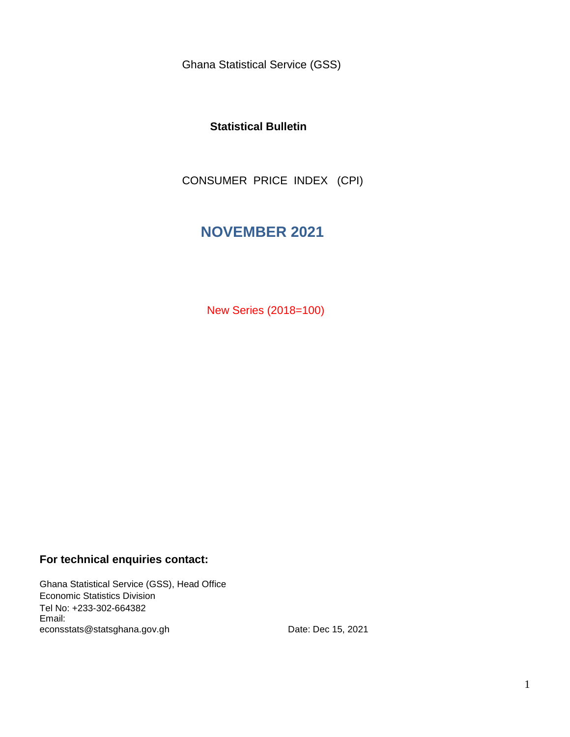Ghana Statistical Service (GSS)

### **Statistical Bulletin**

CONSUMER PRICE INDEX (CPI)

# **NOVEMBER 2021**

New Series (2018=100)

### **For technical enquiries contact:**

Ghana Statistical Service (GSS), Head Office Economic Statistics Division Tel No: +233-302-664382 Email: econsstats@statsghana.gov.gh

Date: Dec 15, 2021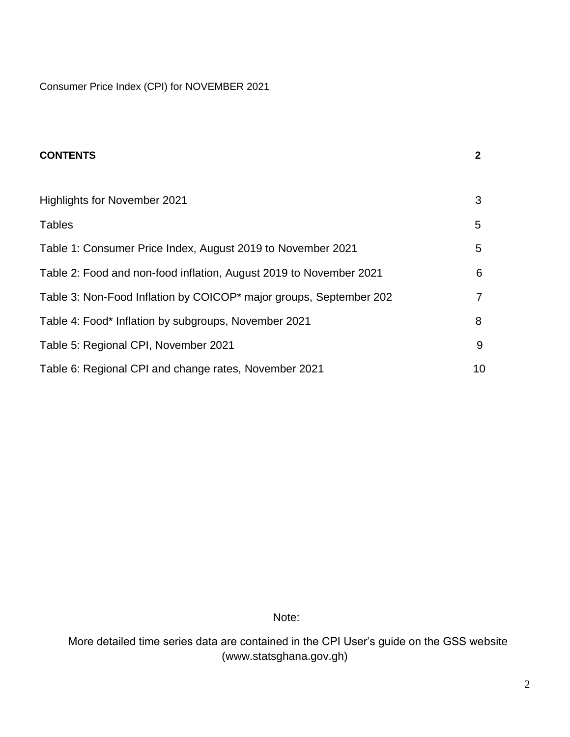Consumer Price Index (CPI) for NOVEMBER 2021

| <b>CONTENTS</b>                                                    | $\mathbf{2}$ |
|--------------------------------------------------------------------|--------------|
|                                                                    |              |
| <b>Highlights for November 2021</b>                                | 3            |
| <b>Tables</b>                                                      | 5            |
| Table 1: Consumer Price Index, August 2019 to November 2021        | 5            |
| Table 2: Food and non-food inflation, August 2019 to November 2021 | 6            |
| Table 3: Non-Food Inflation by COICOP* major groups, September 202 | 7            |
| Table 4: Food* Inflation by subgroups, November 2021               | 8            |
| Table 5: Regional CPI, November 2021                               | 9            |
| Table 6: Regional CPI and change rates, November 2021              | 10           |

Note:

 More detailed time series data are contained in the CPI User's guide on the GSS website (www.statsghana.gov.gh)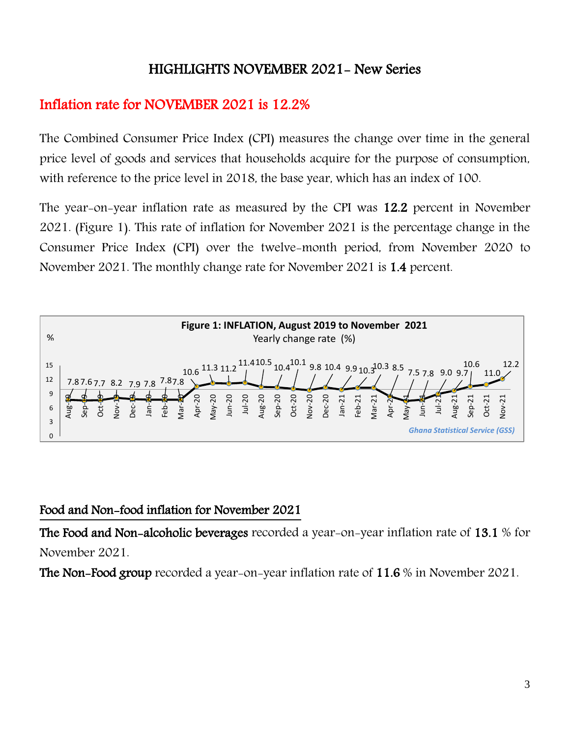# HIGHLIGHTS NOVEMBER 2021- New Series

# Inflation rate for NOVEMBER 2021 is 12.2%

The Combined Consumer Price Index (CPI) measures the change over time in the general price level of goods and services that households acquire for the purpose of consumption, with reference to the price level in 2018, the base year, which has an index of 100.

The year-on-year inflation rate as measured by the CPI was 12.2 percent in November 2021. (Figure 1). This rate of inflation for November 2021 is the percentage change in the Consumer Price Index (CPI) over the twelve-month period, from November 2020 to November 2021. The monthly change rate for November 2021 is 1.4 percent.



## Food and Non-food inflation for November 2021

The Food and Non-alcoholic beverages recorded a year-on-year inflation rate of 13.1 % for November 2021.

The Non-Food group recorded a year-on-year inflation rate of 11.6 % in November 2021.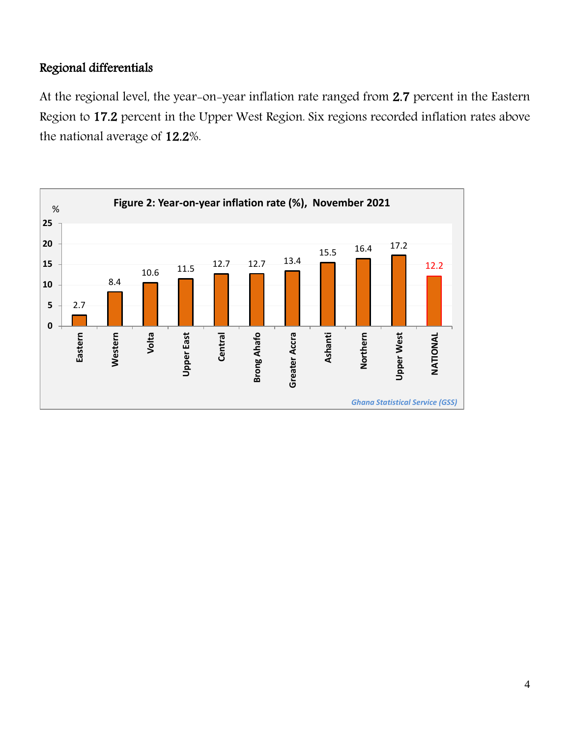## Regional differentials

At the regional level, the year-on-year inflation rate ranged from 2.7 percent in the Eastern Region to 17.2 percent in the Upper West Region. Six regions recorded inflation rates above the national average of 12.2%.

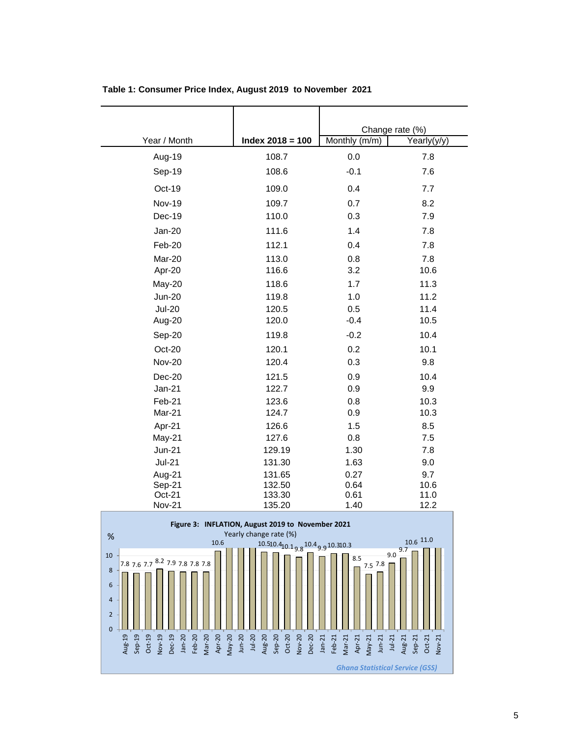|                                    |                                                   | Change rate (%)    |             |
|------------------------------------|---------------------------------------------------|--------------------|-------------|
| Year / Month                       | $Index 2018 = 100$                                | Monthly (m/m)      | Yearly(y/y) |
| Aug-19                             | 108.7                                             | 0.0                | 7.8         |
| Sep-19                             | 108.6                                             | $-0.1$             | 7.6         |
| Oct-19                             | 109.0                                             | 0.4                | 7.7         |
| <b>Nov-19</b>                      | 109.7                                             | 0.7                | 8.2         |
| Dec-19                             | 110.0                                             | 0.3                | 7.9         |
| <b>Jan-20</b>                      | 111.6                                             | 1.4                | 7.8         |
| Feb-20                             | 112.1                                             | 0.4                | 7.8         |
| Mar-20                             | 113.0                                             | 0.8                | 7.8         |
| Apr-20                             | 116.6                                             | 3.2                | 10.6        |
| May-20                             | 118.6                                             | 1.7                | 11.3        |
| <b>Jun-20</b>                      | 119.8                                             | 1.0                | 11.2        |
| <b>Jul-20</b>                      | 120.5                                             | 0.5                | 11.4        |
| Aug-20                             | 120.0                                             | $-0.4$             | 10.5        |
| Sep-20                             | 119.8                                             | $-0.2$             | 10.4        |
| Oct-20                             | 120.1                                             | 0.2                | 10.1        |
| <b>Nov-20</b>                      | 120.4                                             | 0.3                | 9.8         |
| $Dec-20$                           | 121.5                                             | 0.9                | 10.4        |
| $Jan-21$                           | 122.7                                             | 0.9                | 9.9         |
| Feb-21                             | 123.6                                             | 0.8                | 10.3        |
| Mar-21                             | 124.7                                             | 0.9                | 10.3        |
| Apr-21                             | 126.6                                             | 1.5                | 8.5         |
| May-21                             | 127.6                                             | 0.8                | 7.5         |
| $Jun-21$                           | 129.19                                            | 1.30               | 7.8         |
| $Jul-21$                           | 131.30                                            | 1.63               | 9.0         |
| Aug-21                             | 131.65                                            | 0.27               | 9.7         |
| Sep-21                             | 132.50                                            | 0.64               | 10.6        |
| Oct-21                             | 133.30                                            | 0.61               | 11.0        |
| <b>Nov-21</b>                      | 135.20                                            | 1.40               | 12.2        |
|                                    | Figure 3: INFLATION, August 2019 to November 2021 |                    |             |
| %<br>10.6                          | Yearly change rate (%)                            |                    | 10.6 11.0   |
| 10                                 | 10.510.410.19810.49.910.310.3                     |                    | 9.7<br>9.0  |
| 787677 <sup>8.2</sup> 7.97.87.87.8 |                                                   | 8.5<br>$-7.8 \Box$ |             |

**Table 1: Consumer Price Index, August 2019 to November 2021**

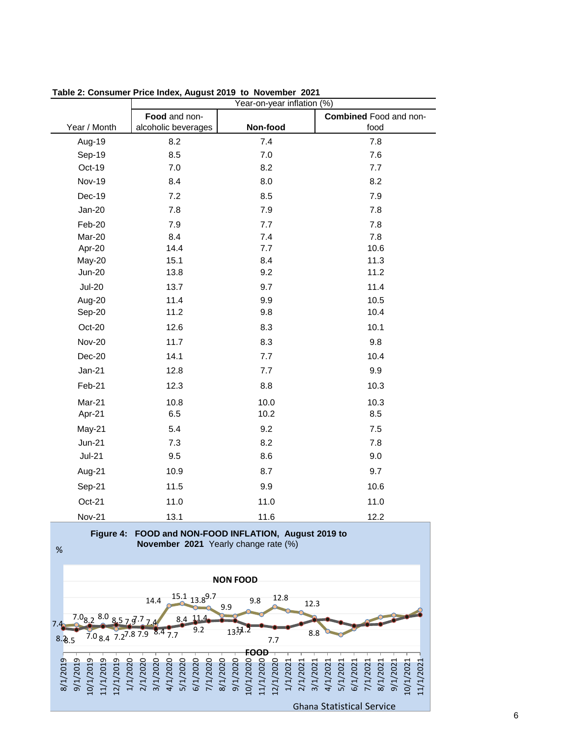|               | Year-on-year inflation (%) |          |                        |  |
|---------------|----------------------------|----------|------------------------|--|
|               | Food and non-              |          | Combined Food and non- |  |
| Year / Month  | alcoholic beverages        | Non-food | food                   |  |
| Aug-19        | 8.2                        | 7.4      | 7.8                    |  |
| Sep-19        | 8.5                        | 7.0      | 7.6                    |  |
| Oct-19        | 7.0                        | 8.2      | 7.7                    |  |
| <b>Nov-19</b> | 8.4                        | 8.0      | 8.2                    |  |
| Dec-19        | 7.2                        | 8.5      | 7.9                    |  |
| $Jan-20$      | 7.8                        | 7.9      | 7.8                    |  |
| Feb-20        | 7.9                        | 7.7      | 7.8                    |  |
| Mar-20        | 8.4                        | 7.4      | 7.8                    |  |
| Apr-20        | 14.4                       | 7.7      | 10.6                   |  |
| May-20        | 15.1                       | 8.4      | 11.3                   |  |
| <b>Jun-20</b> | 13.8                       | 9.2      | 11.2                   |  |
| <b>Jul-20</b> | 13.7                       | 9.7      | 11.4                   |  |
| Aug-20        | 11.4                       | 9.9      | 10.5                   |  |
| Sep-20        | 11.2                       | 9.8      | 10.4                   |  |
| Oct-20        | 12.6                       | 8.3      | 10.1                   |  |
| <b>Nov-20</b> | 11.7                       | 8.3      | 9.8                    |  |
| Dec-20        | 14.1                       | 7.7      | 10.4                   |  |
| <b>Jan-21</b> | 12.8                       | 7.7      | 9.9                    |  |
| Feb-21        | 12.3                       | 8.8      | 10.3                   |  |
| Mar-21        | 10.8                       | 10.0     | 10.3                   |  |
| Apr-21        | 6.5                        | 10.2     | 8.5                    |  |
| May-21        | 5.4                        | 9.2      | 7.5                    |  |
| <b>Jun-21</b> | 7.3                        | 8.2      | 7.8                    |  |
| $Jul-21$      | 9.5                        | 8.6      | 9.0                    |  |
| Aug-21        | 10.9                       | 8.7      | 9.7                    |  |
| Sep-21        | 11.5                       | 9.9      | 10.6                   |  |
| Oct-21        | 11.0                       | 11.0     | 11.0                   |  |
| <b>Nov-21</b> | 13.1                       | 11.6     | 12.2                   |  |

**Table 2: Consumer Price Index, August 2019 to November 2021**

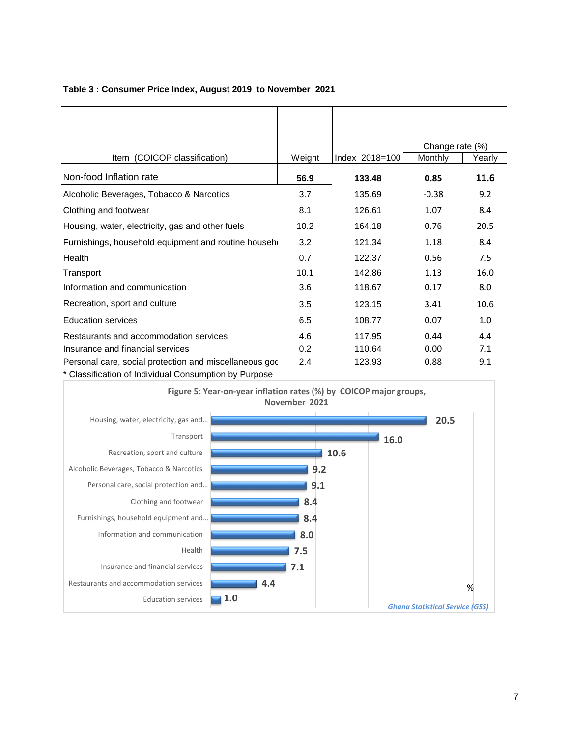|                                                        |        |                | Change rate (%) |        |
|--------------------------------------------------------|--------|----------------|-----------------|--------|
| Item (COICOP classification)                           | Weight | Index 2018=100 | Monthly         | Yearly |
| Non-food Inflation rate                                | 56.9   | 133.48         | 0.85            | 11.6   |
| Alcoholic Beverages, Tobacco & Narcotics               | 3.7    | 135.69         | $-0.38$         | 9.2    |
| Clothing and footwear                                  | 8.1    | 126.61         | 1.07            | 8.4    |
| Housing, water, electricity, gas and other fuels       | 10.2   | 164.18         | 0.76            | 20.5   |
| Furnishings, household equipment and routine househ    | 3.2    | 121.34         | 1.18            | 8.4    |
| Health                                                 | 0.7    | 122.37         | 0.56            | 7.5    |
| Transport                                              | 10.1   | 142.86         | 1.13            | 16.0   |
| Information and communication                          | 3.6    | 118.67         | 0.17            | 8.0    |
| Recreation, sport and culture                          | 3.5    | 123.15         | 3.41            | 10.6   |
| <b>Education services</b>                              | 6.5    | 108.77         | 0.07            | 1.0    |
| Restaurants and accommodation services                 | 4.6    | 117.95         | 0.44            | 4.4    |
| Insurance and financial services                       | 0.2    | 110.64         | 0.00            | 7.1    |
| Personal care, social protection and miscellaneous god | 2.4    | 123.93         | 0.88            | 9.1    |
| * Classification of Individual Consumption by Purpose  |        |                |                 |        |

### **Table 3 : Consumer Price Index, August 2019 to November 2021**

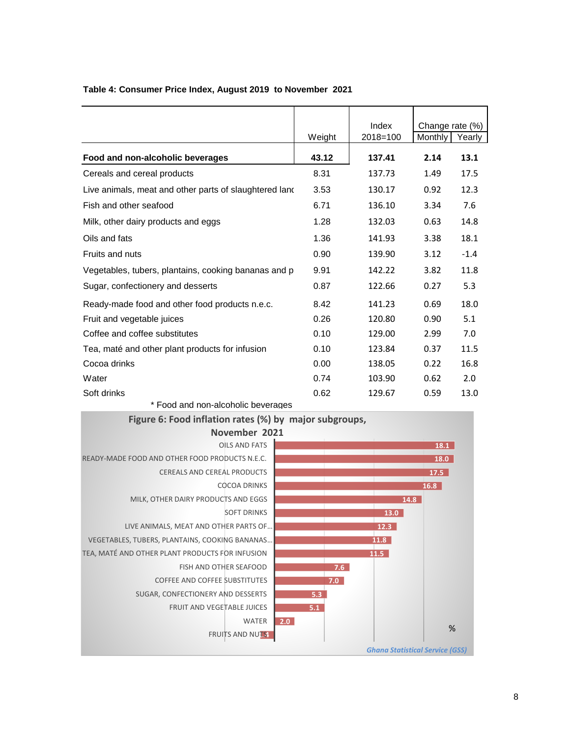|                                                        |        | Index    | Change rate (%) |        |
|--------------------------------------------------------|--------|----------|-----------------|--------|
|                                                        | Weight | 2018=100 | Monthly         | Yearly |
| Food and non-alcoholic beverages                       | 43.12  | 137.41   | 2.14            | 13.1   |
| Cereals and cereal products                            | 8.31   | 137.73   | 1.49            | 17.5   |
| Live animals, meat and other parts of slaughtered land | 3.53   | 130.17   | 0.92            | 12.3   |
| Fish and other seafood                                 | 6.71   | 136.10   | 3.34            | 7.6    |
| Milk, other dairy products and eggs                    | 1.28   | 132.03   | 0.63            | 14.8   |
| Oils and fats                                          | 1.36   | 141.93   | 3.38            | 18.1   |
| Fruits and nuts                                        | 0.90   | 139.90   | 3.12            | $-1.4$ |
| Vegetables, tubers, plantains, cooking bananas and p   | 9.91   | 142.22   | 3.82            | 11.8   |
| Sugar, confectionery and desserts                      | 0.87   | 122.66   | 0.27            | 5.3    |
| Ready-made food and other food products n.e.c.         | 8.42   | 141.23   | 0.69            | 18.0   |
| Fruit and vegetable juices                             | 0.26   | 120.80   | 0.90            | 5.1    |
| Coffee and coffee substitutes                          | 0.10   | 129.00   | 2.99            | 7.0    |
| Tea, maté and other plant products for infusion        | 0.10   | 123.84   | 0.37            | 11.5   |
| Cocoa drinks                                           | 0.00   | 138.05   | 0.22            | 16.8   |
| Water                                                  | 0.74   | 103.90   | 0.62            | 2.0    |
| Soft drinks                                            | 0.62   | 129.67   | 0.59            | 13.0   |

### **Table 4: Consumer Price Index, August 2019 to November 2021**



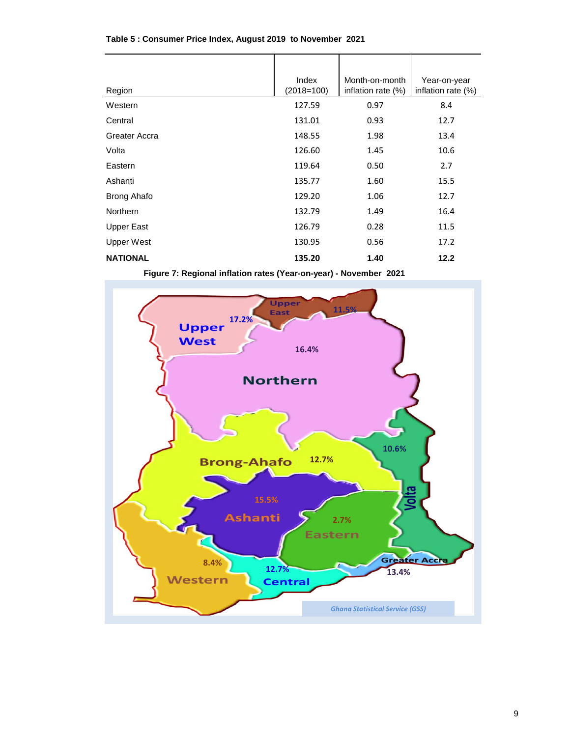| Region            | Index<br>$(2018=100)$ | Month-on-month<br>inflation rate (%) | Year-on-year<br>inflation rate (%) |
|-------------------|-----------------------|--------------------------------------|------------------------------------|
| Western           | 127.59                | 0.97                                 | 8.4                                |
| Central           | 131.01                | 0.93                                 | 12.7                               |
| Greater Accra     | 148.55                | 1.98                                 | 13.4                               |
| Volta             | 126.60                | 1.45                                 | 10.6                               |
| Eastern           | 119.64                | 0.50                                 | 2.7                                |
| Ashanti           | 135.77                | 1.60                                 | 15.5                               |
| Brong Ahafo       | 129.20                | 1.06                                 | 12.7                               |
| Northern          | 132.79                | 1.49                                 | 16.4                               |
| <b>Upper East</b> | 126.79                | 0.28                                 | 11.5                               |
| <b>Upper West</b> | 130.95                | 0.56                                 | 17.2                               |
| <b>NATIONAL</b>   | 135.20                | 1.40                                 | 12.2                               |

#### **Table 5 : Consumer Price Index, August 2019 to November 2021**

 **Figure 7: Regional inflation rates (Year-on-year) - November 2021**